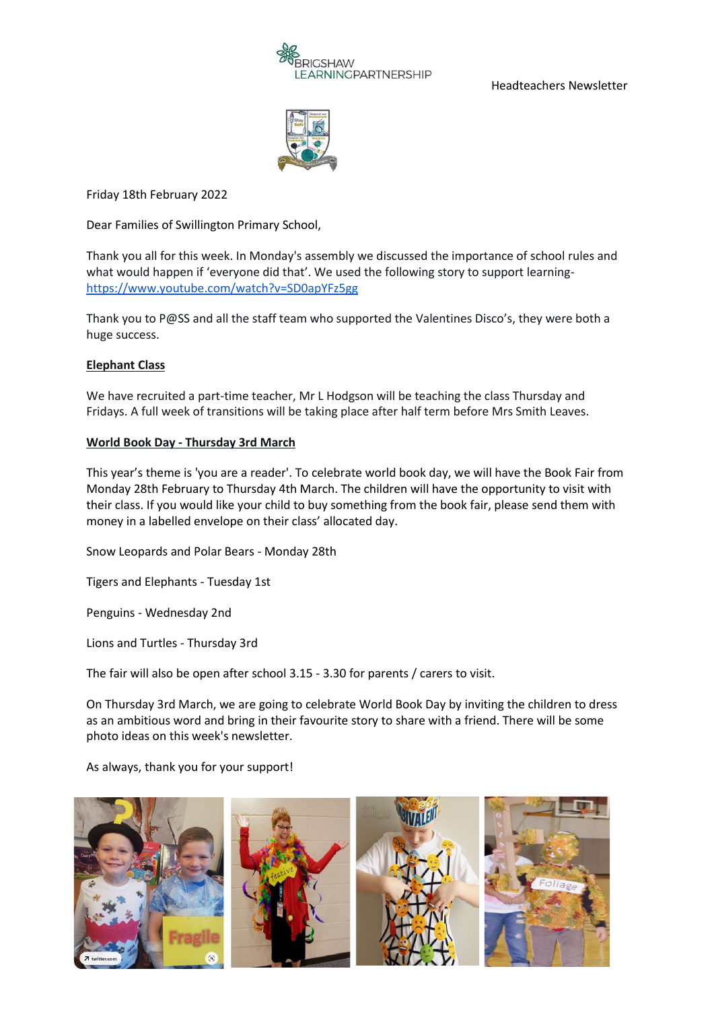

Headteachers Newsletter



Friday 18th February 2022

Dear Families of Swillington Primary School,

Thank you all for this week. In Monday's assembly we discussed the importance of school rules and what would happen if 'everyone did that'. We used the following story to support learning<https://www.youtube.com/watch?v=SD0apYFz5gg>

Thank you to P@SS and all the staff team who supported the Valentines Disco's, they were both a huge success.

# **Elephant Class**

We have recruited a part-time teacher, Mr L Hodgson will be teaching the class Thursday and Fridays. A full week of transitions will be taking place after half term before Mrs Smith Leaves.

### **World Book Day - Thursday 3rd March**

This year's theme is 'you are a reader'. To celebrate world book day, we will have the Book Fair from Monday 28th February to Thursday 4th March. The children will have the opportunity to visit with their class. If you would like your child to buy something from the book fair, please send them with money in a labelled envelope on their class' allocated day.

Snow Leopards and Polar Bears - Monday 28th

Tigers and Elephants - Tuesday 1st

Penguins - Wednesday 2nd

Lions and Turtles - Thursday 3rd

The fair will also be open after school 3.15 - 3.30 for parents / carers to visit.

On Thursday 3rd March, we are going to celebrate World Book Day by inviting the children to dress as an ambitious word and bring in their favourite story to share with a friend. There will be some photo ideas on this week's newsletter.

As always, thank you for your support!

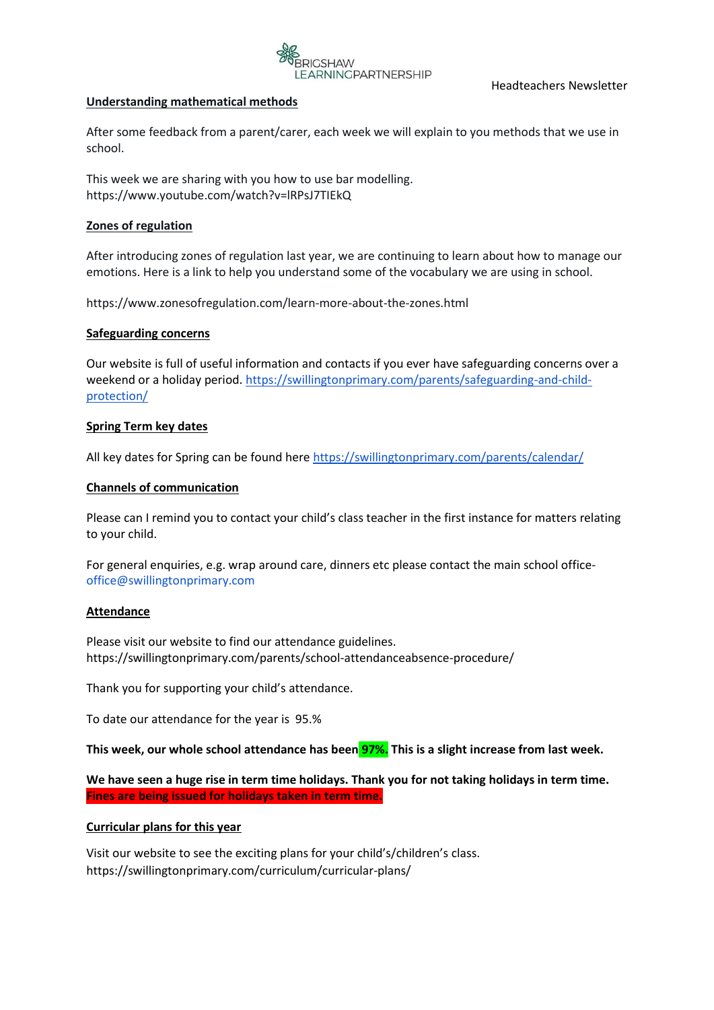

### **Understanding mathematical methods**

After some feedback from a parent/carer, each week we will explain to you methods that we use in school.

This week we are sharing with you how to use bar modelling. https://www.youtube.com/watch?v=lRPsJ7TIEkQ

# **Zones of regulation**

After introducing zones of regulation last year, we are continuing to learn about how to manage our emotions. Here is a link to help you understand some of the vocabulary we are using in school.

https://www.zonesofregulation.com/learn-more-about-the-zones.html

# **Safeguarding concerns**

Our website is full of useful information and contacts if you ever have safeguarding concerns over a weekend or a holiday period. [https://swillingtonprimary.com/parents/safeguarding-and-child](https://swillingtonprimary.com/parents/safeguarding-and-child-protection/)[protection/](https://swillingtonprimary.com/parents/safeguarding-and-child-protection/)

# **Spring Term key dates**

All key dates for Spring can be found here<https://swillingtonprimary.com/parents/calendar/>

# **Channels of communication**

Please can I remind you to contact your child's class teacher in the first instance for matters relating to your child.

For general enquiries, e.g. wrap around care, dinners etc please contact the main school office[office@swillingtonprimary.com](mailto:office@swillingtonprimary.com)

### **Attendance**

Please visit our website to find our attendance guidelines. https://swillingtonprimary.com/parents/school-attendanceabsence-procedure/

Thank you for supporting your child's attendance.

To date our attendance for the year is 95.%

**This week, our whole school attendance has been 97%. This is a slight increase from last week.** 

**We have seen a huge rise in term time holidays. Thank you for not taking holidays in term time. Fines are being issued for holidays taken in term time.** 

### **Curricular plans for this year**

Visit our website to see the exciting plans for your child's/children's class. https://swillingtonprimary.com/curriculum/curricular-plans/